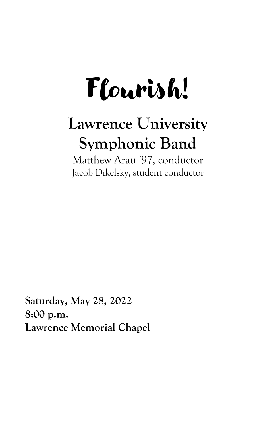# Flourish!

## **Lawrence University Symphonic Band**

Matthew Arau '97, conductor Jacob Dikelsky, student conductor

**Saturday, May 28, 2022 8:00 p.m. Lawrence Memorial Chapel**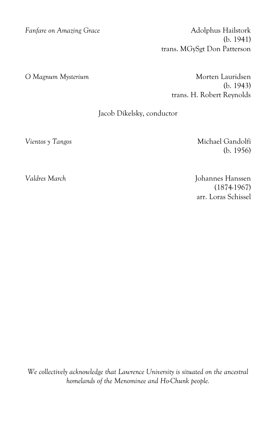*Fanfare on Amazing Grace* Adolphus Hailstork (b. 1941) trans. MGySgt Don Patterson

O Magnum Mysterium and a state of Morten Lauridsen (b. 1943) trans. H. Robert Reynolds

#### Jacob Dikelsky, conductor

*Vientos y Tangos* Michael Gandolfi (b. 1956)

*Valdres March* Johannes Hanssen (1874-1967) arr. Loras Schissel

*We collectively acknowledge that Lawrence University is situated on the ancestral homelands of the Menominee and Ho-Chunk people.*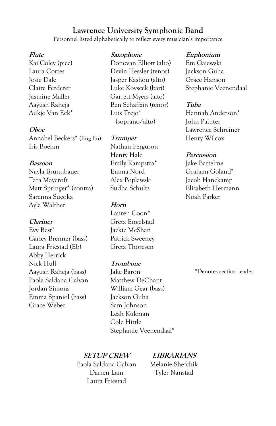#### **Lawrence University Symphonic Band**

Personnel listed alphabetically to reflect every musician's importance

#### **Flute**

Kai Coley (picc) Laura Cortes Josie Dale Claire Ferderer Jasmine Maller Aayush Raheja Aukje Van Eck\*

#### **Oboe**

Annabel Beckers\* (Eng hn) Iris Boehm

#### **Bassoon**

Nayla Brunnbauer Tara Maycroft Matt Springer\* (contra) Sarenna Sueoka Ayla Walther

#### **Clarinet**

Evy Best\* Carley Brenner (bass) Laura Friestad (Eb) Abby Herrick Nick Hull Aayush Raheja (bass) Paola Saldana Galvan Jordan Simons Emma Spaniol (bass) Grace Weber

#### **Saxophone**

Donovan Elliott (alto) Devin Hessler (tenor) Jasper Kashou (alto) Luke Kovscek (bari) Garrett Myers (alto) Ben Schaffzin (tenor) Luis Trejo\* (soprano/alto)

#### **Trumpet**

Nathan Ferguson Henry Hale Emily Kampstra\* Emma Nord Alex Poplawski Sudha Schultz

#### **Horn**

Lauren Coon\* Greta Engelstad Jackie McShan Patrick Sweeney Greta Thoresen

#### **Trombone**

Jake Baron Matthew DeChant William Gear (bass) Jackson Guha Sam Johnson Leah Kukman Cole Hittle Stephanie Veenendaal\*

#### **SETUP CREW**

Paola Saldana Galvan Darren Lam Laura Friestad

### **LIBRARIANS**

Melanie Shefchik Tyler Nanstad

#### **Euphonium**

Em Gajewski Jackson Guha Grace Hanson Stephanie Veenendaal

#### **Tuba**

Hannah Anderson\* John Painter Lawrence Schreiner Henry Wilcox

#### **Percussion**

Jake Bartelme Graham Goland\* Jacob Hanekamp Elizabeth Hermann Noah Parker

\*Denotes section leader